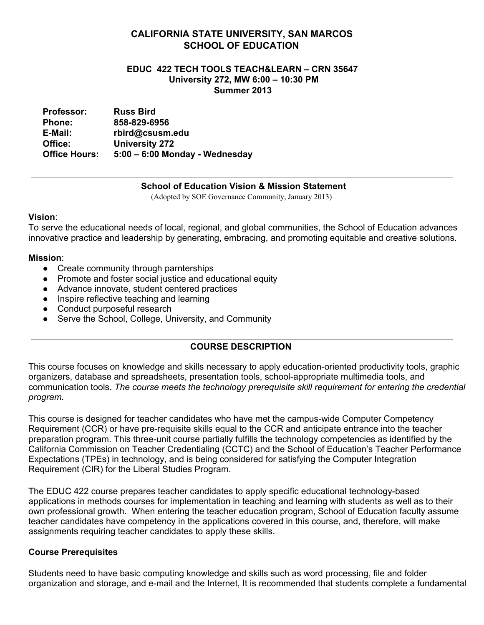# **CALIFORNIA STATE UNIVERSITY, SAN MARCOS SCHOOL OF EDUCATION**

### **EDUC 422 TECH TOOLS TEACH&LEARN – CRN 35647 University 272, MW 6:00 – 10:30 PM Summer 2013**

| <b>Professor:</b>    | <b>Russ Bird</b>               |
|----------------------|--------------------------------|
| <b>Phone:</b>        | 858-829-6956                   |
| E-Mail:              | rbird@csusm.edu                |
| Office:              | <b>University 272</b>          |
| <b>Office Hours:</b> | 5:00 - 6:00 Monday - Wednesday |

### **School of Education Vision & Mission Statement**

(Adopted by SOE Governance Community, January 2013)

### **Vision**:

To serve the educational needs of local, regional, and global communities, the School of Education advances innovative practice and leadership by generating, embracing, and promoting equitable and creative solutions.

### **Mission**:

- Create community through parnterships
- Promote and foster social justice and educational equity
- Advance innovate, student centered practices
- Inspire reflective teaching and learning
- Conduct purposeful research
- Serve the School, College, University, and Community

### **COURSE DESCRIPTION**

This course focuses on knowledge and skills necessary to apply education-oriented productivity tools, graphic organizers, database and spreadsheets, presentation tools, schoolappropriate multimedia tools, and communication tools. *The course meets the technology prerequisite skill requirement for entering the credential program.*

This course is designed for teacher candidates who have met the campus-wide Computer Competency Requirement (CCR) or have pre-requisite skills equal to the CCR and anticipate entrance into the teacher preparation program. This three-unit course partially fulfills the technology competencies as identified by the California Commission on Teacher Credentialing (CCTC) and the School of Education's Teacher Performance Expectations (TPEs) in technology, and is being considered for satisfying the Computer Integration Requirement (CIR) for the Liberal Studies Program.

The EDUC 422 course prepares teacher candidates to apply specific educational technology-based applications in methods courses for implementation in teaching and learning with students as well as to their own professional growth. When entering the teacher education program, School of Education faculty assume teacher candidates have competency in the applications covered in this course, and, therefore, will make assignments requiring teacher candidates to apply these skills.

### **Course Prerequisites**

Students need to have basic computing knowledge and skills such as word processing, file and folder organization and storage, and email and the Internet, It is recommended that students complete a fundamental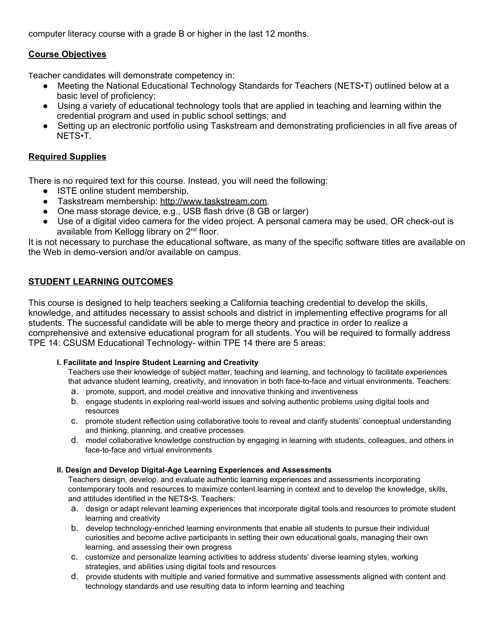computer literacy course with a grade B or higher in the last 12 months.

# **Course Objectives**

Teacher candidates will demonstrate competency in:

- Meeting the National Educational Technology Standards for Teachers (NETS•T) outlined below at a basic level of proficiency;
- Using a variety of educational technology tools that are applied in teaching and learning within the credential program and used in public school settings; and
- Setting up an electronic portfolio using Taskstream and demonstrating proficiencies in all five areas of NETS•T.

## **Required Supplies**

There is no required text for this course. Instead, you will need the following:

- ISTE online student membership.
- Taskstream membership: [http://www.taskstream.com.](http://www.google.com/url?q=http%3A%2F%2Fwww.taskstream.com&sa=D&sntz=1&usg=AFQjCNHOd15IzWSqImfDsL6_OUheLA7dqA)
- One mass storage device, e.g., USB flash drive (8 GB or larger)
- Use of a digital video camera for the video project. A personal camera may be used, OR check-out is available from Kellogg library on 2<sup>nd</sup> floor.

It is not necessary to purchase the educational software, as many of the specific software titles are available on the Web in demo-version and/or available on campus.

## **STUDENT LEARNING OUTCOMES**

This course is designed to help teachers seeking a California teaching credential to develop the skills, knowledge, and attitudes necessary to assist schools and district in implementing effective programs for all students. The successful candidate will be able to merge theory and practice in order to realize a comprehensive and extensive educational program for all students. You will be required to formally address TPE 14: CSUSM Educational Technology- within TPE 14 there are 5 areas:

### **I. Facilitate and Inspire Student Learning and Creativity**

Teachers use their knowledge of subject matter, teaching and learning, and technology to facilitate experiences that advance student learning, creativity, and innovation in both face-to-face and virtual environments. Teachers:

- a. promote, support, and model creative and innovative thinking and inventiveness
- b. engage students in exploring realworld issues and solving authentic problems using digital tools and resources
- c. promote student reflection using collaborative tools to reveal and clarify students' conceptual understanding and thinking, planning, and creative processes
- d. model collaborative knowledge construction by engaging in learning with students, colleagues, and others in face-to-face and virtual environments

### **II. Design and Develop DigitalAge Learning Experiences and Assessments**

Teachers design, develop, and evaluate authentic learning experiences and assessments incorporating contemporary tools and resources to maximize content learning in context and to develop the knowledge, skills, and attitudes identified in the NETS•S. Teachers:

- a. design or adapt relevant learning experiences that incorporate digital tools and resources to promote student learning and creativity
- b. develop technology-enriched learning environments that enable all students to pursue their individual curiosities and become active participants in setting their own educational goals, managing their own learning, and assessing their own progress
- c. customize and personalize learning activities to address students' diverse learning styles, working strategies, and abilities using digital tools and resources
- d. provide students with multiple and varied formative and summative assessments aligned with content and technology standards and use resulting data to inform learning and teaching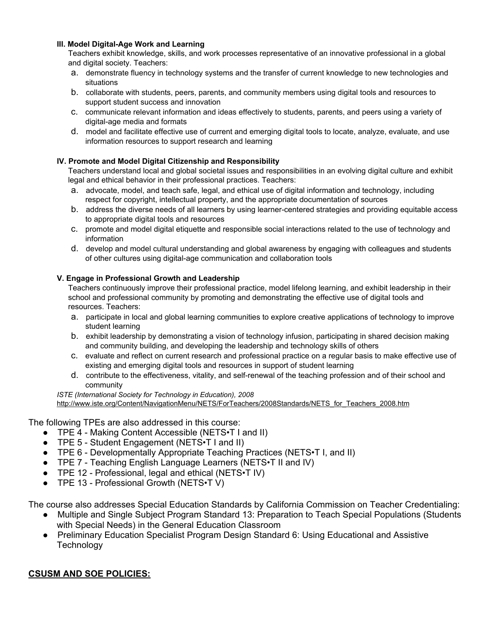#### **III.** Model Digital-Age Work and Learning

Teachers exhibit knowledge, skills, and work processes representative of an innovative professional in a global and digital society. Teachers:

- a. demonstrate fluency in technology systems and the transfer of current knowledge to new technologies and situations
- b. collaborate with students, peers, parents, and community members using digital tools and resources to support student success and innovation
- c. communicate relevant information and ideas effectively to students, parents, and peers using a variety of digital-age media and formats
- d. model and facilitate effective use of current and emerging digital tools to locate, analyze, evaluate, and use information resources to support research and learning

#### **IV. Promote and Model Digital Citizenship and Responsibility**

Teachers understand local and global societal issues and responsibilities in an evolving digital culture and exhibit legal and ethical behavior in their professional practices. Teachers:

- a. advocate, model, and teach safe, legal, and ethical use of digital information and technology, including respect for copyright, intellectual property, and the appropriate documentation of sources
- b. address the diverse needs of all learners by using learner-centered strategies and providing equitable access to appropriate digital tools and resources
- c. promote and model digital etiquette and responsible social interactions related to the use of technology and information
- d. develop and model cultural understanding and global awareness by engaging with colleagues and students of other cultures using digital-age communication and collaboration tools

#### **V. Engage in Professional Growth and Leadership**

Teachers continuously improve their professional practice, model lifelong learning, and exhibit leadership in their school and professional community by promoting and demonstrating the effective use of digital tools and resources. Teachers:

- a. participate in local and global learning communities to explore creative applications of technology to improve student learning
- b. exhibit leadership by demonstrating a vision of technology infusion, participating in shared decision making and community building, and developing the leadership and technology skills of others
- c. evaluate and reflect on current research and professional practice on a regular basis to make effective use of existing and emerging digital tools and resources in support of student learning
- d. contribute to the effectiveness, vitality, and self-renewal of the teaching profession and of their school and community

*ISTE (International Society for Technology in Education), 2008* [http://www.iste.org/Content/NavigationMenu/NETS/ForTeachers/2008Standards/NETS\\_for\\_Teachers\\_2008.htm](http://www.google.com/url?q=http%3A%2F%2Fwww.iste.org%2FContent%2FNavigationMenu%2FNETS%2FForTeachers%2F2008Standards%2FNETS_for_Teachers_2008.htm&sa=D&sntz=1&usg=AFQjCNFPk4pUc7GnaaqjcYdALbTDAbtmCQ)

The following TPEs are also addressed in this course:

- TPE 4 Making Content Accessible (NETS•T I and II)
- TPE 5 Student Engagement (NETS•T I and II)
- TPE 6 Developmentally Appropriate Teaching Practices (NETS•T I, and II)
- TPE 7 Teaching English Language Learners (NETS•T II and IV)
- TPE 12 Professional, legal and ethical (NETS•T IV)
- TPE 13 Professional Growth (NETS•T V)

The course also addresses Special Education Standards by California Commission on Teacher Credentialing:

- Multiple and Single Subject Program Standard 13: Preparation to Teach Special Populations (Students with Special Needs) in the General Education Classroom
- Preliminary Education Specialist Program Design Standard 6: Using Educational and Assistive **Technology**

### **CSUSM AND SOE POLICIES:**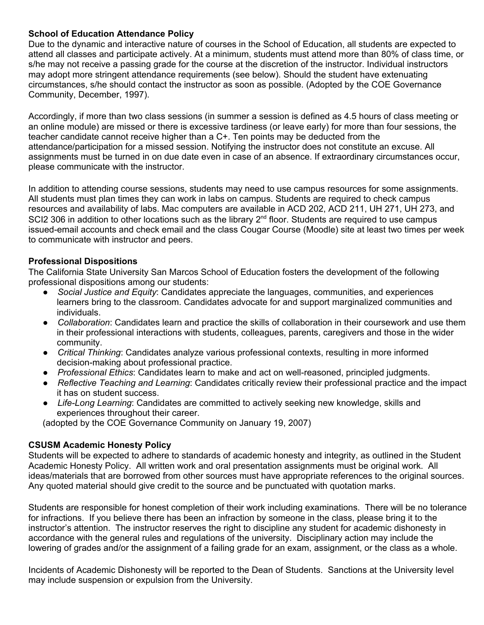### **School of Education Attendance Policy**

Due to the dynamic and interactive nature of courses in the School of Education, all students are expected to attend all classes and participate actively. At a minimum, students must attend more than 80% of class time, or s/he may not receive a passing grade for the course at the discretion of the instructor. Individual instructors may adopt more stringent attendance requirements (see below). Should the student have extenuating circumstances, s/he should contact the instructor as soon as possible. (Adopted by the COE Governance Community, December, 1997).

Accordingly, if more than two class sessions (in summer a session is defined as 4.5 hours of class meeting or an online module) are missed or there is excessive tardiness (or leave early) for more than four sessions, the teacher candidate cannot receive higher than a C+. Ten points may be deducted from the attendance/participation for a missed session. Notifying the instructor does not constitute an excuse. All assignments must be turned in on due date even in case of an absence. If extraordinary circumstances occur, please communicate with the instructor.

In addition to attending course sessions, students may need to use campus resources for some assignments. All students must plan times they can work in labs on campus. Students are required to check campus resources and availability of labs. Mac computers are available in ACD 202, ACD 211, UH 271, UH 273, and SCI2 306 in addition to other locations such as the library  $2^{nd}$  floor. Students are required to use campus issued-email accounts and check email and the class Cougar Course (Moodle) site at least two times per week to communicate with instructor and peers.

### **Professional Dispositions**

The California State University San Marcos School of Education fosters the development of the following professional dispositions among our students:

- *Social Justice and Equity*: Candidates appreciate the languages, communities, and experiences learners bring to the classroom. Candidates advocate for and support marginalized communities and individuals.
- *Collaboration*: Candidates learn and practice the skills of collaboration in their coursework and use them in their professional interactions with students, colleagues, parents, caregivers and those in the wider community.
- *Critical Thinking*: Candidates analyze various professional contexts, resulting in more informed decision-making about professional practice.
- *Professional Ethics*: Candidates learn to make and act on well-reasoned, principled judgments.
- *Reflective Teaching and Learning*: Candidates critically review their professional practice and the impact it has on student success.
- *LifeLong Learning*: Candidates are committed to actively seeking new knowledge, skills and experiences throughout their career.

(adopted by the COE Governance Community on January 19, 2007)

## **CSUSM Academic Honesty Policy**

Students will be expected to adhere to standards of academic honesty and integrity, as outlined in the Student Academic Honesty Policy. All written work and oral presentation assignments must be original work. All ideas/materials that are borrowed from other sources must have appropriate references to the original sources. Any quoted material should give credit to the source and be punctuated with quotation marks.

Students are responsible for honest completion of their work including examinations. There will be no tolerance for infractions. If you believe there has been an infraction by someone in the class, please bring it to the instructor's attention. The instructor reserves the right to discipline any student for academic dishonesty in accordance with the general rules and regulations of the university. Disciplinary action may include the lowering of grades and/or the assignment of a failing grade for an exam, assignment, or the class as a whole.

Incidents of Academic Dishonesty will be reported to the Dean of Students. Sanctions at the University level may include suspension or expulsion from the University.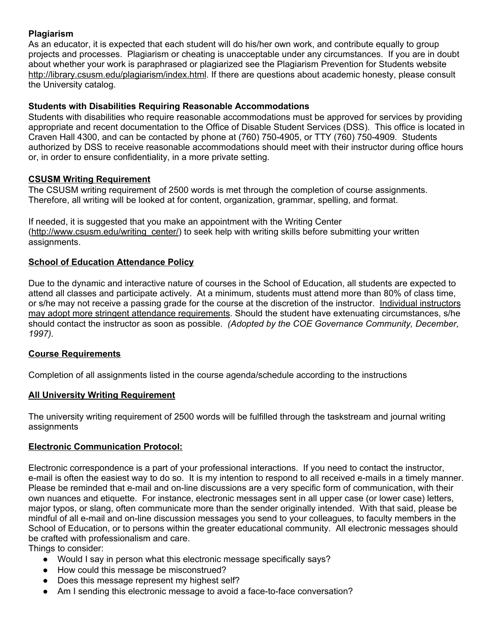# **Plagiarism**

As an educator, it is expected that each student will do his/her own work, and contribute equally to group projects and processes. Plagiarism or cheating is unacceptable under any circumstances. If you are in doubt about whether your work is paraphrased or plagiarized see the Plagiarism Prevention for Students website [http://library.csusm.edu/plagiarism/index.html.](http://www.google.com/url?q=http%3A%2F%2Flibrary.csusm.edu%2Fplagiarism%2Findex.html&sa=D&sntz=1&usg=AFQjCNFbEH5PnuYzdzB0te4RMgTD05u73g) If there are questions about academic honesty, please consult the University catalog.

# **Students with Disabilities Requiring Reasonable Accommodations**

Students with disabilities who require reasonable accommodations must be approved for services by providing appropriate and recent documentation to the Office of Disable Student Services (DSS). This office is located in Craven Hall 4300, and can be contacted by phone at (760) 7504905, or TTY (760) 7504909. Students authorized by DSS to receive reasonable accommodations should meet with their instructor during office hours or, in order to ensure confidentiality, in a more private setting.

## **CSUSM Writing Requirement**

The CSUSM writing requirement of 2500 words is met through the completion of course assignments. Therefore, all writing will be looked at for content, organization, grammar, spelling, and format.

If needed, it is suggested that you make an appointment with the Writing Center [\(http://www.csusm.edu/writing\\_center/](http://www.google.com/url?q=http%3A%2F%2Fwww.csusm.edu%2Fwriting_center%2F&sa=D&sntz=1&usg=AFQjCNGoPKIznrNnrVEXo2_z5JpROziEPw)) to seek help with writing skills before submitting your written assignments.

# **School of Education Attendance Policy**

Due to the dynamic and interactive nature of courses in the School of Education, all students are expected to attend all classes and participate actively. At a minimum, students must attend more than 80% of class time, or s/he may not receive a passing grade for the course at the discretion of the instructor. Individual instructors may adopt more stringent attendance requirements. Should the student have extenuating circumstances, s/he should contact the instructor as soon as possible. *(Adopted by the COE Governance Community, December, 1997).*

## **Course Requirements**

Completion of all assignments listed in the course agenda/schedule according to the instructions

## **All University Writing Requirement**

The university writing requirement of 2500 words will be fulfilled through the taskstream and journal writing assignments

## **Electronic Communication Protocol:**

Electronic correspondence is a part of your professional interactions. If you need to contact the instructor, e-mail is often the easiest way to do so. It is my intention to respond to all received e-mails in a timely manner. Please be reminded that e-mail and on-line discussions are a very specific form of communication, with their own nuances and etiquette. For instance, electronic messages sent in all upper case (or lower case) letters, major typos, or slang, often communicate more than the sender originally intended. With that said, please be mindful of all e-mail and on-line discussion messages you send to your colleagues, to faculty members in the School of Education, or to persons within the greater educational community. All electronic messages should be crafted with professionalism and care.

Things to consider:

- Would I say in person what this electronic message specifically says?
- How could this message be misconstrued?
- Does this message represent my highest self?
- $\bullet$  Am I sending this electronic message to avoid a face-to-face conversation?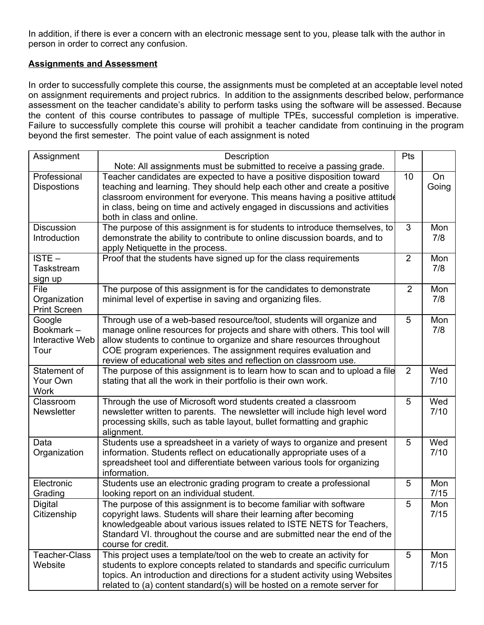In addition, if there is ever a concern with an electronic message sent to you, please talk with the author in person in order to correct any confusion.

### **Assignments and Assessment**

In order to successfully complete this course, the assignments must be completed at an acceptable level noted on assignment requirements and project rubrics. In addition to the assignments described below, performance assessment on the teacher candidate's ability to perform tasks using the software will be assessed. Because the content of this course contributes to passage of multiple TPEs, successful completion is imperative. Failure to successfully complete this course will prohibit a teacher candidate from continuing in the program beyond the first semester. The point value of each assignment is noted

| Assignment                                     | Description                                                                                                                                                                                                                                                                                                                                                        | <b>Pts</b>     |             |
|------------------------------------------------|--------------------------------------------------------------------------------------------------------------------------------------------------------------------------------------------------------------------------------------------------------------------------------------------------------------------------------------------------------------------|----------------|-------------|
|                                                | Note: All assignments must be submitted to receive a passing grade.                                                                                                                                                                                                                                                                                                |                |             |
| Professional<br><b>Dispostions</b>             | Teacher candidates are expected to have a positive disposition toward<br>teaching and learning. They should help each other and create a positive<br>classroom environment for everyone. This means having a positive attitude<br>in class, being on time and actively engaged in discussions and activities<br>both in class and online.                          | 10             | On<br>Going |
| <b>Discussion</b><br>Introduction              | The purpose of this assignment is for students to introduce themselves, to<br>demonstrate the ability to contribute to online discussion boards, and to<br>apply Netiquette in the process.                                                                                                                                                                        | 3              | Mon<br>7/8  |
| $ISTE -$<br><b>Taskstream</b><br>sign up       | Proof that the students have signed up for the class requirements                                                                                                                                                                                                                                                                                                  | $\overline{2}$ | Mon<br>7/8  |
| File<br>Organization<br><b>Print Screen</b>    | The purpose of this assignment is for the candidates to demonstrate<br>minimal level of expertise in saving and organizing files.                                                                                                                                                                                                                                  | 2              | Mon<br>7/8  |
| Google<br>Bookmark-<br>Interactive Web<br>Tour | Through use of a web-based resource/tool, students will organize and<br>manage online resources for projects and share with others. This tool will<br>allow students to continue to organize and share resources throughout<br>COE program experiences. The assignment requires evaluation and<br>review of educational web sites and reflection on classroom use. | 5              | Mon<br>7/8  |
| Statement of<br>Your Own<br>Work               | The purpose of this assignment is to learn how to scan and to upload a file<br>stating that all the work in their portfolio is their own work.                                                                                                                                                                                                                     | 2              | Wed<br>7/10 |
| Classroom<br>Newsletter                        | Through the use of Microsoft word students created a classroom<br>newsletter written to parents. The newsletter will include high level word<br>processing skills, such as table layout, bullet formatting and graphic<br>alignment.                                                                                                                               | 5              | Wed<br>7/10 |
| Data<br>Organization                           | Students use a spreadsheet in a variety of ways to organize and present<br>information. Students reflect on educationally appropriate uses of a<br>spreadsheet tool and differentiate between various tools for organizing<br>information.                                                                                                                         | 5              | Wed<br>7/10 |
| Electronic<br>Grading                          | Students use an electronic grading program to create a professional<br>looking report on an individual student.                                                                                                                                                                                                                                                    | 5              | Mon<br>7/15 |
| Digital<br>Citizenship                         | The purpose of this assignment is to become familiar with software<br>copyright laws. Students will share their learning after becoming<br>knowledgeable about various issues related to ISTE NETS for Teachers,<br>Standard VI. throughout the course and are submitted near the end of the<br>course for credit.                                                 | 5              | Mon<br>7/15 |
| <b>Teacher-Class</b><br>Website                | This project uses a template/tool on the web to create an activity for<br>students to explore concepts related to standards and specific curriculum<br>topics. An introduction and directions for a student activity using Websites<br>related to (a) content standard(s) will be hosted on a remote server for                                                    | 5              | Mon<br>7/15 |